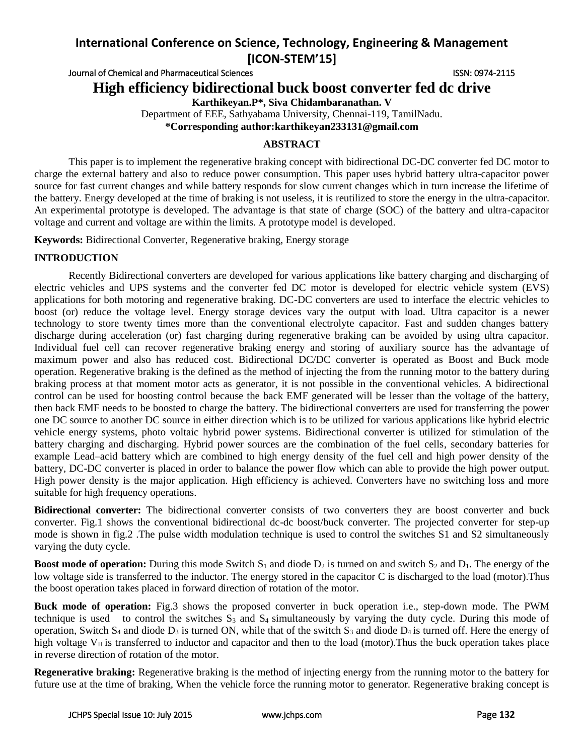Journal of Chemical and Pharmaceutical Sciences **ISSN: 0974-2115** ISSN: 0974-2115

**High efficiency bidirectional buck boost converter fed dc drive**

**Karthikeyan.P\*, Siva Chidambaranathan. V**

Department of EEE, Sathyabama University, Chennai-119, TamilNadu.

**\*Corresponding author:karthikeyan233131@gmail.com**

### **ABSTRACT**

This paper is to implement the regenerative braking concept with bidirectional DC-DC converter fed DC motor to charge the external battery and also to reduce power consumption. This paper uses hybrid battery ultra-capacitor power source for fast current changes and while battery responds for slow current changes which in turn increase the lifetime of the battery. Energy developed at the time of braking is not useless, it is reutilized to store the energy in the ultra-capacitor. An experimental prototype is developed. The advantage is that state of charge (SOC) of the battery and ultra-capacitor voltage and current and voltage are within the limits. A prototype model is developed.

**Keywords:** Bidirectional Converter, Regenerative braking, Energy storage

#### **INTRODUCTION**

Recently Bidirectional converters are developed for various applications like battery charging and discharging of electric vehicles and UPS systems and the converter fed DC motor is developed for electric vehicle system (EVS) applications for both motoring and regenerative braking. DC-DC converters are used to interface the electric vehicles to boost (or) reduce the voltage level. Energy storage devices vary the output with load. Ultra capacitor is a newer technology to store twenty times more than the conventional electrolyte capacitor. Fast and sudden changes battery discharge during acceleration (or) fast charging during regenerative braking can be avoided by using ultra capacitor. Individual fuel cell can recover regenerative braking energy and storing of auxiliary source has the advantage of maximum power and also has reduced cost. Bidirectional DC/DC converter is operated as Boost and Buck mode operation. Regenerative braking is the defined as the method of injecting the from the running motor to the battery during braking process at that moment motor acts as generator, it is not possible in the conventional vehicles. A bidirectional control can be used for boosting control because the back EMF generated will be lesser than the voltage of the battery, then back EMF needs to be boosted to charge the battery. The bidirectional converters are used for transferring the power one DC source to another DC source in either direction which is to be utilized for various applications like hybrid electric vehicle energy systems, photo voltaic hybrid power systems. Bidirectional converter is utilized for stimulation of the battery charging and discharging. Hybrid power sources are the combination of the fuel cells, secondary batteries for example Lead–acid battery which are combined to high energy density of the fuel cell and high power density of the battery, DC-DC converter is placed in order to balance the power flow which can able to provide the high power output. High power density is the major application. High efficiency is achieved. Converters have no switching loss and more suitable for high frequency operations.

**Bidirectional converter:** The bidirectional converter consists of two converters they are boost converter and buck converter. Fig.1 shows the conventional bidirectional dc-dc boost/buck converter. The projected converter for step-up mode is shown in fig.2 .The pulse width modulation technique is used to control the switches S1 and S2 simultaneously varying the duty cycle.

**Boost mode of operation:** During this mode Switch  $S_1$  and diode  $D_2$  is turned on and switch  $S_2$  and  $D_1$ . The energy of the low voltage side is transferred to the inductor. The energy stored in the capacitor C is discharged to the load (motor).Thus the boost operation takes placed in forward direction of rotation of the motor.

**Buck mode of operation:** Fig.3 shows the proposed converter in buck operation i.e., step-down mode. The PWM technique is used to control the switches  $S_3$  and  $S_4$  simultaneously by varying the duty cycle. During this mode of operation, Switch S<sub>4</sub> and diode  $D_3$  is turned ON, while that of the switch S<sub>3</sub> and diode  $D_4$  is turned off. Here the energy of high voltage  $V_H$  is transferred to inductor and capacitor and then to the load (motor). Thus the buck operation takes place in reverse direction of rotation of the motor.

**Regenerative braking:** Regenerative braking is the method of injecting energy from the running motor to the battery for future use at the time of braking, When the vehicle force the running motor to generator. Regenerative braking concept is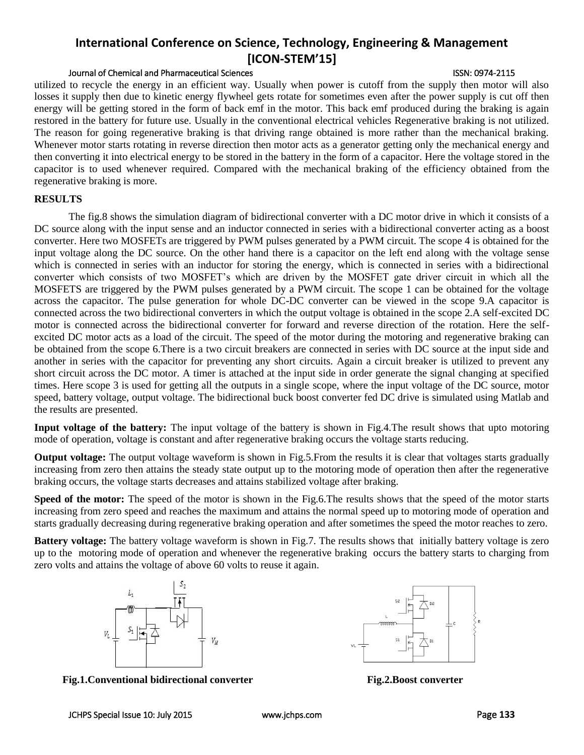#### Journal of Chemical and Pharmaceutical Sciences ISSN: 0974-2115

utilized to recycle the energy in an efficient way. Usually when power is cutoff from the supply then motor will also losses it supply then due to kinetic energy flywheel gets rotate for sometimes even after the power supply is cut off then energy will be getting stored in the form of back emf in the motor. This back emf produced during the braking is again restored in the battery for future use. Usually in the conventional electrical vehicles Regenerative braking is not utilized. The reason for going regenerative braking is that driving range obtained is more rather than the mechanical braking. Whenever motor starts rotating in reverse direction then motor acts as a generator getting only the mechanical energy and then converting it into electrical energy to be stored in the battery in the form of a capacitor. Here the voltage stored in the capacitor is to used whenever required. Compared with the mechanical braking of the efficiency obtained from the regenerative braking is more.

#### **RESULTS**

The fig.8 shows the simulation diagram of bidirectional converter with a DC motor drive in which it consists of a DC source along with the input sense and an inductor connected in series with a bidirectional converter acting as a boost converter. Here two MOSFETs are triggered by PWM pulses generated by a PWM circuit. The scope 4 is obtained for the input voltage along the DC source. On the other hand there is a capacitor on the left end along with the voltage sense which is connected in series with an inductor for storing the energy, which is connected in series with a bidirectional converter which consists of two MOSFET's which are driven by the MOSFET gate driver circuit in which all the MOSFETS are triggered by the PWM pulses generated by a PWM circuit. The scope 1 can be obtained for the voltage across the capacitor. The pulse generation for whole DC-DC converter can be viewed in the scope 9.A capacitor is connected across the two bidirectional converters in which the output voltage is obtained in the scope 2.A self-excited DC motor is connected across the bidirectional converter for forward and reverse direction of the rotation. Here the selfexcited DC motor acts as a load of the circuit. The speed of the motor during the motoring and regenerative braking can be obtained from the scope 6.There is a two circuit breakers are connected in series with DC source at the input side and another in series with the capacitor for preventing any short circuits. Again a circuit breaker is utilized to prevent any short circuit across the DC motor. A timer is attached at the input side in order generate the signal changing at specified times. Here scope 3 is used for getting all the outputs in a single scope, where the input voltage of the DC source, motor speed, battery voltage, output voltage. The bidirectional buck boost converter fed DC drive is simulated using Matlab and the results are presented.

**Input voltage of the battery:** The input voltage of the battery is shown in Fig.4.The result shows that upto motoring mode of operation, voltage is constant and after regenerative braking occurs the voltage starts reducing.

**Output voltage:** The output voltage waveform is shown in Fig.5. From the results it is clear that voltages starts gradually increasing from zero then attains the steady state output up to the motoring mode of operation then after the regenerative braking occurs, the voltage starts decreases and attains stabilized voltage after braking.

**Speed of the motor:** The speed of the motor is shown in the Fig.6.The results shows that the speed of the motor starts increasing from zero speed and reaches the maximum and attains the normal speed up to motoring mode of operation and starts gradually decreasing during regenerative braking operation and after sometimes the speed the motor reaches to zero.

**Battery voltage:** The battery voltage waveform is shown in Fig.7. The results shows that initially battery voltage is zero up to the motoring mode of operation and whenever the regenerative braking occurs the battery starts to charging from zero volts and attains the voltage of above 60 volts to reuse it again.





**Fig.1.Conventional bidirectional converter Fig.2.Boost converter**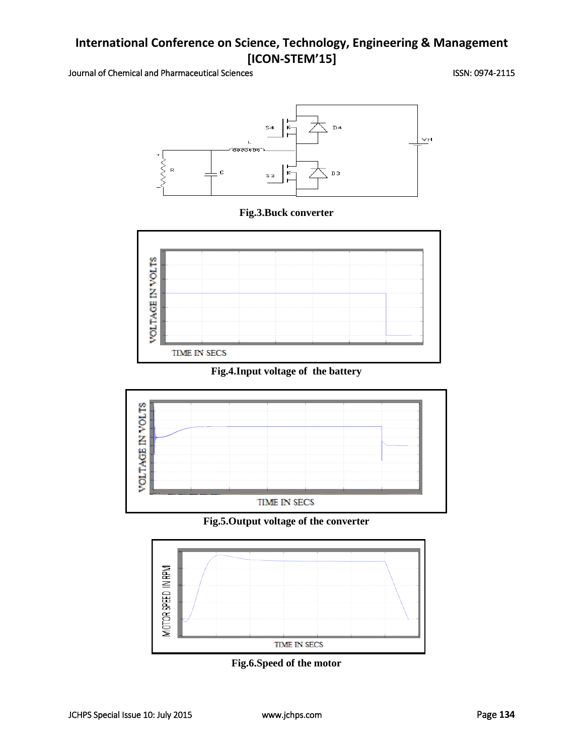#### Journal of Chemical and Pharmaceutical Sciences **ISSN: 0974-2115** ISSN: 0974-2115



### **Fig.3.Buck converter**



#### **Fig.4.Input voltage of the battery**



## **Fig.5.Output voltage of the converter**



**Fig.6.Speed of the motor**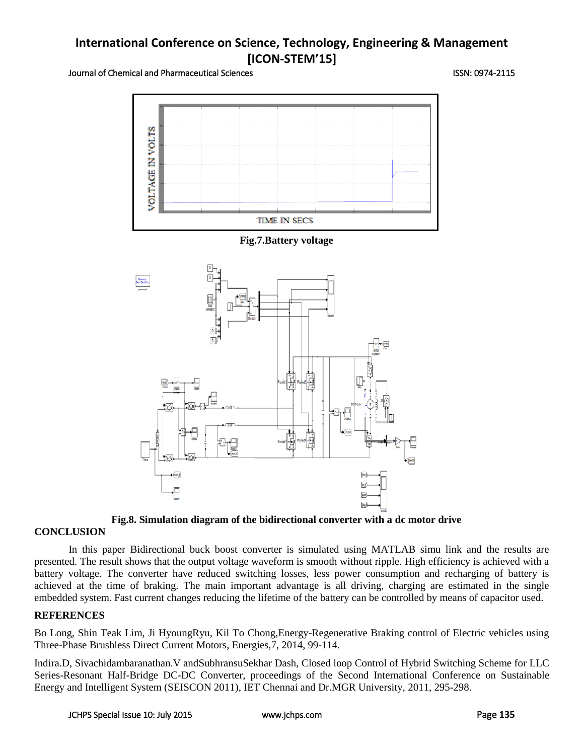Journal of Chemical and Pharmaceutical Sciences ISSN: 0974-2115



### **Fig.7.Battery voltage**



**Fig.8. Simulation diagram of the bidirectional converter with a dc motor drive**

#### **CONCLUSION**

In this paper Bidirectional buck boost converter is simulated using MATLAB simu link and the results are presented. The result shows that the output voltage waveform is smooth without ripple. High efficiency is achieved with a battery voltage. The converter have reduced switching losses, less power consumption and recharging of battery is achieved at the time of braking. The main important advantage is all driving, charging are estimated in the single embedded system. Fast current changes reducing the lifetime of the battery can be controlled by means of capacitor used.

### **REFERENCES**

Bo Long, Shin Teak Lim, Ji HyoungRyu, Kil To Chong,Energy-Regenerative Braking control of Electric vehicles using Three-Phase Brushless Direct Current Motors, Energies,7, 2014, 99-114.

Indira.D, Sivachidambaranathan.V andSubhransuSekhar Dash, Closed loop Control of Hybrid Switching Scheme for LLC Series-Resonant Half-Bridge DC-DC Converter, proceedings of the Second International Conference on Sustainable Energy and Intelligent System (SEISCON 2011), IET Chennai and Dr.MGR University, 2011, 295-298.